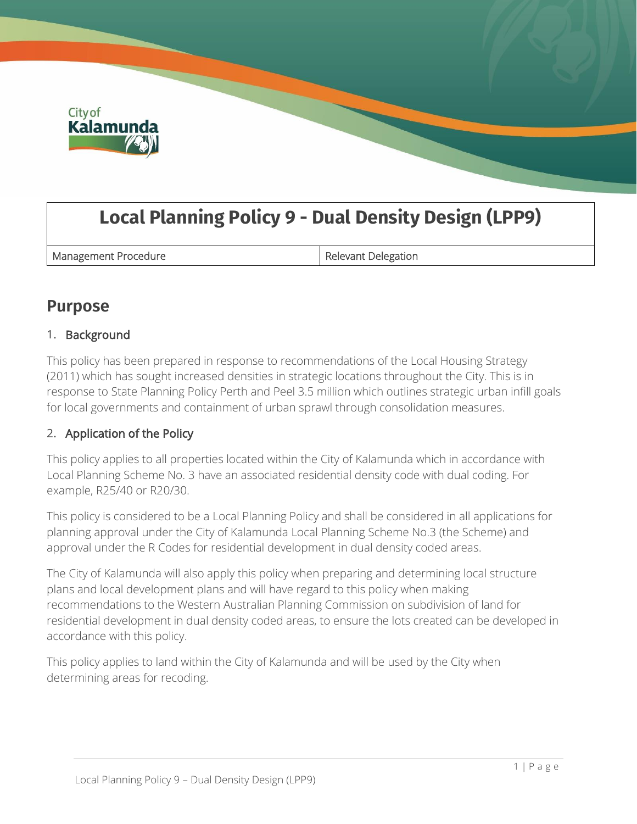

# **Local Planning Policy 9 - Dual Density Design (LPP9)**

Management Procedure **Relevant Delegation** 

# **Purpose**

# 1. Background

This policy has been prepared in response to recommendations of the Local Housing Strategy (2011) which has sought increased densities in strategic locations throughout the City. This is in response to State Planning Policy Perth and Peel 3.5 million which outlines strategic urban infill goals for local governments and containment of urban sprawl through consolidation measures.

# 2. Application of the Policy

This policy applies to all properties located within the City of Kalamunda which in accordance with Local Planning Scheme No. 3 have an associated residential density code with dual coding. For example, R25/40 or R20/30.

This policy is considered to be a Local Planning Policy and shall be considered in all applications for planning approval under the City of Kalamunda Local Planning Scheme No.3 (the Scheme) and approval under the R Codes for residential development in dual density coded areas.

The City of Kalamunda will also apply this policy when preparing and determining local structure plans and local development plans and will have regard to this policy when making recommendations to the Western Australian Planning Commission on subdivision of land for residential development in dual density coded areas, to ensure the lots created can be developed in accordance with this policy.

This policy applies to land within the City of Kalamunda and will be used by the City when determining areas for recoding.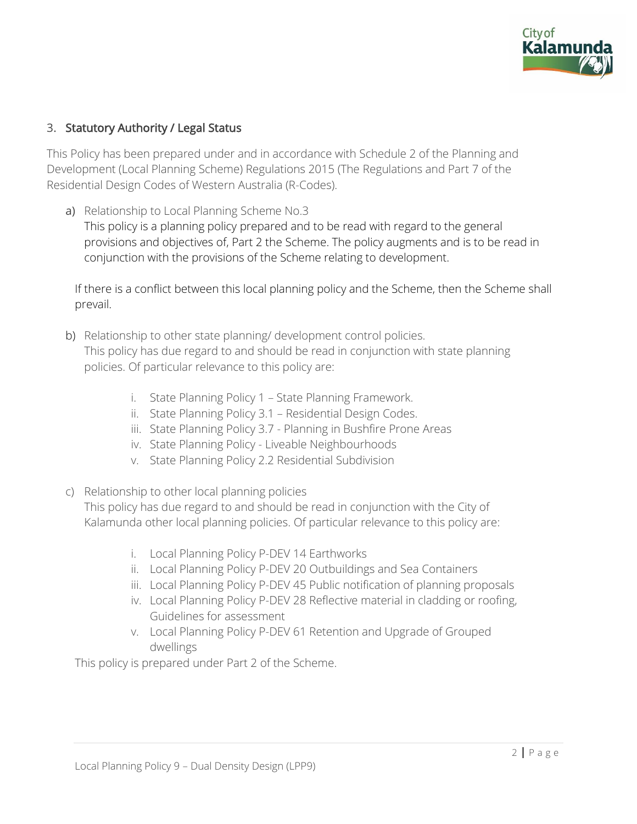

# 3. Statutory Authority / Legal Status

This Policy has been prepared under and in accordance with Schedule 2 of the Planning and Development (Local Planning Scheme) Regulations 2015 (The Regulations and Part 7 of the Residential Design Codes of Western Australia (R-Codes).

a) Relationship to Local Planning Scheme No.3 This policy is a planning policy prepared and to be read with regard to the general provisions and objectives of, Part 2 the Scheme. The policy augments and is to be read in conjunction with the provisions of the Scheme relating to development.

If there is a conflict between this local planning policy and the Scheme, then the Scheme shall prevail.

- b) Relationship to other state planning/ development control policies. This policy has due regard to and should be read in conjunction with state planning policies. Of particular relevance to this policy are:
	- i. State Planning Policy 1 State Planning Framework.
	- ii. State Planning Policy 3.1 Residential Design Codes.
	- iii. State Planning Policy 3.7 Planning in Bushfire Prone Areas
	- iv. State Planning Policy Liveable Neighbourhoods
	- v. State Planning Policy 2.2 Residential Subdivision
- c) Relationship to other local planning policies

This policy has due regard to and should be read in conjunction with the City of Kalamunda other local planning policies. Of particular relevance to this policy are:

- i. Local Planning Policy P-DEV 14 Earthworks
- ii. Local Planning Policy P-DEV 20 Outbuildings and Sea Containers
- iii. Local Planning Policy P-DEV 45 Public notification of planning proposals
- iv. Local Planning Policy P-DEV 28 Reflective material in cladding or roofing, Guidelines for assessment
- v. Local Planning Policy P-DEV 61 Retention and Upgrade of Grouped dwellings

This policy is prepared under Part 2 of the Scheme.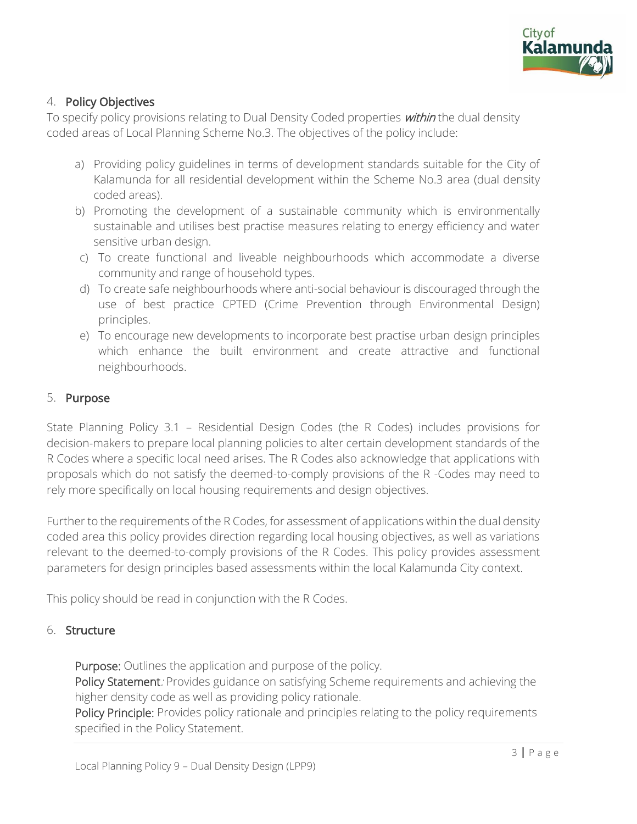

## 4. Policy Objectives

To specify policy provisions relating to Dual Density Coded properties *within* the dual density coded areas of Local Planning Scheme No.3. The objectives of the policy include:

- a) Providing policy guidelines in terms of development standards suitable for the City of Kalamunda for all residential development within the Scheme No.3 area (dual density coded areas).
- b) Promoting the development of a sustainable community which is environmentally sustainable and utilises best practise measures relating to energy efficiency and water sensitive urban design.
- c) To create functional and liveable neighbourhoods which accommodate a diverse community and range of household types.
- d) To create safe neighbourhoods where anti-social behaviour is discouraged through the use of best practice CPTED (Crime Prevention through Environmental Design) principles.
- e) To encourage new developments to incorporate best practise urban design principles which enhance the built environment and create attractive and functional neighbourhoods.

#### 5. Purpose

State Planning Policy 3.1 – Residential Design Codes (the R Codes) includes provisions for decision-makers to prepare local planning policies to alter certain development standards of the R Codes where a specific local need arises. The R Codes also acknowledge that applications with proposals which do not satisfy the deemed-to-comply provisions of the R -Codes may need to rely more specifically on local housing requirements and design objectives.

Further to the requirements of the R Codes, for assessment of applications within the dual density coded area this policy provides direction regarding local housing objectives, as well as variations relevant to the deemed-to-comply provisions of the R Codes. This policy provides assessment parameters for design principles based assessments within the local Kalamunda City context.

This policy should be read in conjunction with the R Codes.

#### 6. Structure

Purpose: Outlines the application and purpose of the policy.

Policy Statement: Provides guidance on satisfying Scheme requirements and achieving the higher density code as well as providing policy rationale.

Policy Principle: Provides policy rationale and principles relating to the policy requirements specified in the Policy Statement.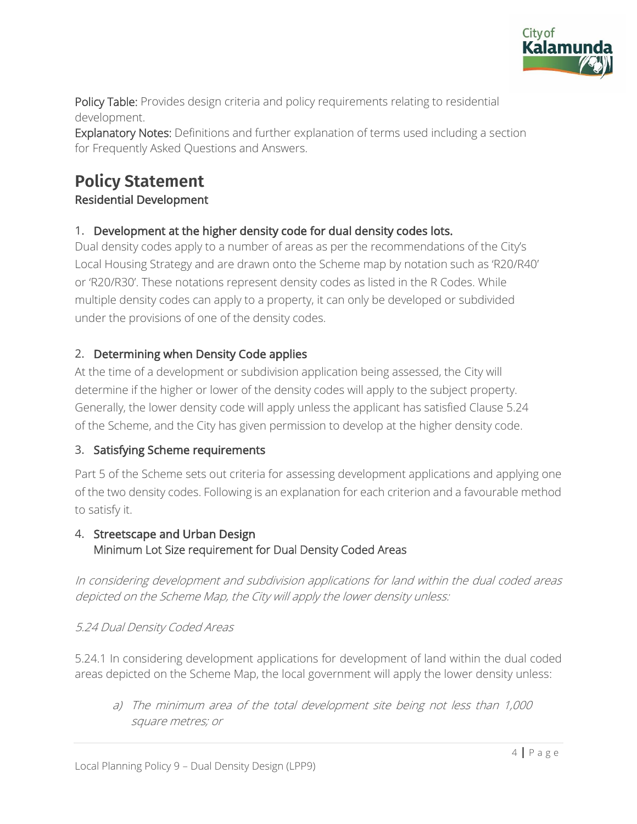

Policy Table: Provides design criteria and policy requirements relating to residential development.

Explanatory Notes: Definitions and further explanation of terms used including a section for Frequently Asked Questions and Answers.

# **Policy Statement**

# Residential Development

# 1. Development at the higher density code for dual density codes lots.

Dual density codes apply to a number of areas as per the recommendations of the City's Local Housing Strategy and are drawn onto the Scheme map by notation such as 'R20/R40' or 'R20/R30'. These notations represent density codes as listed in the R Codes. While multiple density codes can apply to a property, it can only be developed or subdivided under the provisions of one of the density codes.

# 2. Determining when Density Code applies

At the time of a development or subdivision application being assessed, the City will determine if the higher or lower of the density codes will apply to the subject property. Generally, the lower density code will apply unless the applicant has satisfied Clause 5.24 of the Scheme, and the City has given permission to develop at the higher density code.

# 3. Satisfying Scheme requirements

Part 5 of the Scheme sets out criteria for assessing development applications and applying one of the two density codes. Following is an explanation for each criterion and a favourable method to satisfy it.

# 4. Streetscape and Urban Design Minimum Lot Size requirement for Dual Density Coded Areas

In considering development and subdivision applications for land within the dual coded areas depicted on the Scheme Map, the City will apply the lower density unless:

# 5.24 Dual Density Coded Areas

5.24.1 In considering development applications for development of land within the dual coded areas depicted on the Scheme Map, the local government will apply the lower density unless:

a) The minimum area of the total development site being not less than 1,000 square metres; or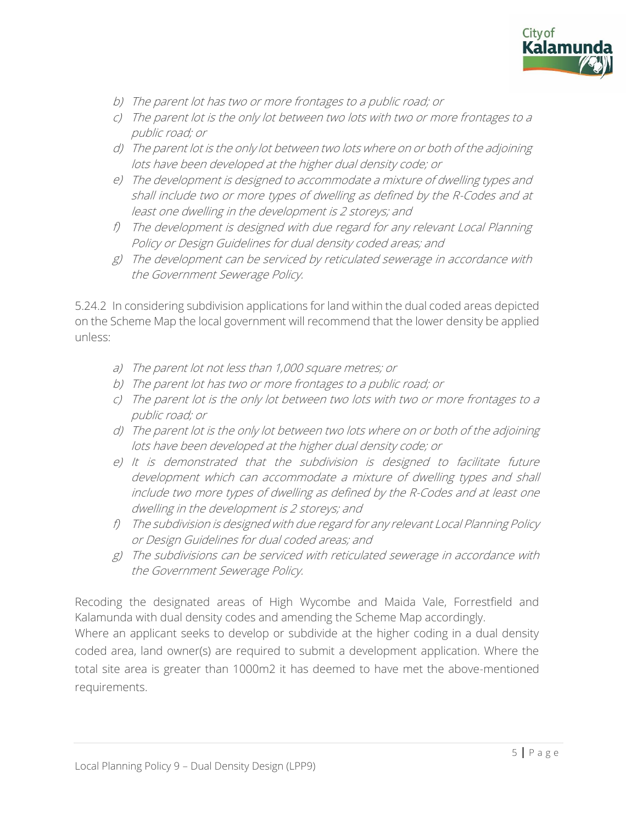

- b) The parent lot has two or more frontages to a public road; or
- c) The parent lot is the only lot between two lots with two or more frontages to a public road; or
- d) The parent lot is the only lot between two lots where on or both of the adjoining lots have been developed at the higher dual density code; or
- e) The development is designed to accommodate a mixture of dwelling types and shall include two or more types of dwelling as defined by the R-Codes and at least one dwelling in the development is 2 storeys; and
- f) The development is designed with due regard for any relevant Local Planning Policy or Design Guidelines for dual density coded areas; and
- g) The development can be serviced by reticulated sewerage in accordance with the Government Sewerage Policy.

5.24.2 In considering subdivision applications for land within the dual coded areas depicted on the Scheme Map the local government will recommend that the lower density be applied unless:

- a) The parent lot not less than 1,000 square metres; or
- b) The parent lot has two or more frontages to a public road; or
- c) The parent lot is the only lot between two lots with two or more frontages to a public road; or
- d) The parent lot is the only lot between two lots where on or both of the adjoining lots have been developed at the higher dual density code; or
- e) It is demonstrated that the subdivision is designed to facilitate future development which can accommodate a mixture of dwelling types and shall include two more types of dwelling as defined by the R-Codes and at least one dwelling in the development is 2 storeys; and
- f) The subdivision is designed with due regard for any relevant Local Planning Policy or Design Guidelines for dual coded areas; and
- g) The subdivisions can be serviced with reticulated sewerage in accordance with the Government Sewerage Policy.

Recoding the designated areas of High Wycombe and Maida Vale, Forrestfield and Kalamunda with dual density codes and amending the Scheme Map accordingly.

Where an applicant seeks to develop or subdivide at the higher coding in a dual density coded area, land owner(s) are required to submit a development application. Where the total site area is greater than 1000m2 it has deemed to have met the above-mentioned requirements.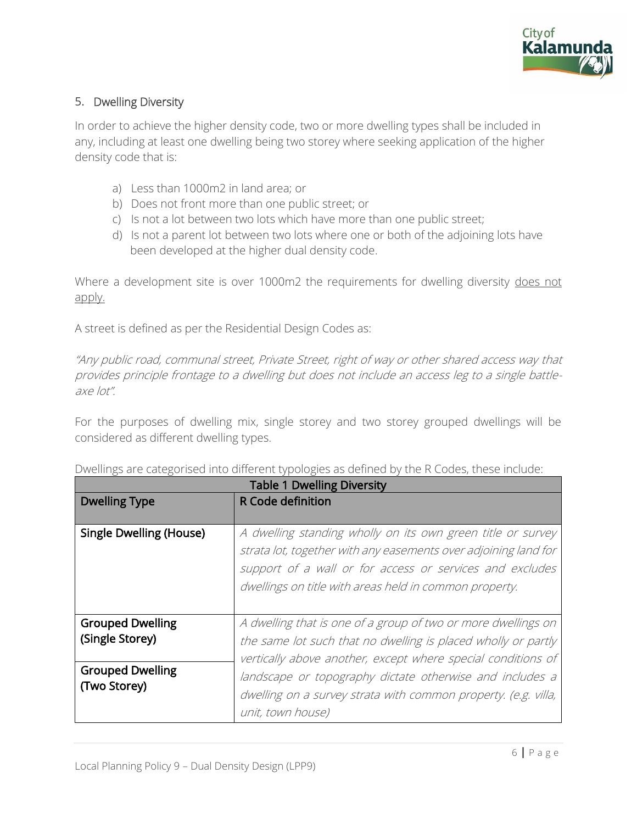

# 5. Dwelling Diversity

In order to achieve the higher density code, two or more dwelling types shall be included in any, including at least one dwelling being two storey where seeking application of the higher density code that is:

- a) Less than 1000m2 in land area; or
- b) Does not front more than one public street; or
- c) Is not a lot between two lots which have more than one public street;
- d) Is not a parent lot between two lots where one or both of the adjoining lots have been developed at the higher dual density code.

Where a development site is over 1000m2 the requirements for dwelling diversity does not apply.

A street is defined as per the Residential Design Codes as:

"Any public road, communal street, Private Street, right of way or other shared access way that provides principle frontage to a dwelling but does not include an access leg to a single battleaxe lot".

For the purposes of dwelling mix, single storey and two storey grouped dwellings will be considered as different dwelling types.

|                                            | <b>Table 1 Dwelling Diversity</b>                                                                                                                                                                                                                    |
|--------------------------------------------|------------------------------------------------------------------------------------------------------------------------------------------------------------------------------------------------------------------------------------------------------|
| <b>Dwelling Type</b>                       | <b>R</b> Code definition                                                                                                                                                                                                                             |
| <b>Single Dwelling (House)</b>             | A dwelling standing wholly on its own green title or survey<br>strata lot, together with any easements over adjoining land for<br>support of a wall or for access or services and excludes<br>dwellings on title with areas held in common property. |
| <b>Grouped Dwelling</b><br>(Single Storey) | A dwelling that is one of a group of two or more dwellings on<br>the same lot such that no dwelling is placed wholly or partly<br>vertically above another, except where special conditions of                                                       |
| <b>Grouped Dwelling</b><br>(Two Storey)    | landscape or topography dictate otherwise and includes a<br>dwelling on a survey strata with common property. (e.g. villa,<br>unit, town house)                                                                                                      |

Dwellings are categorised into different typologies as defined by the R Codes, these include: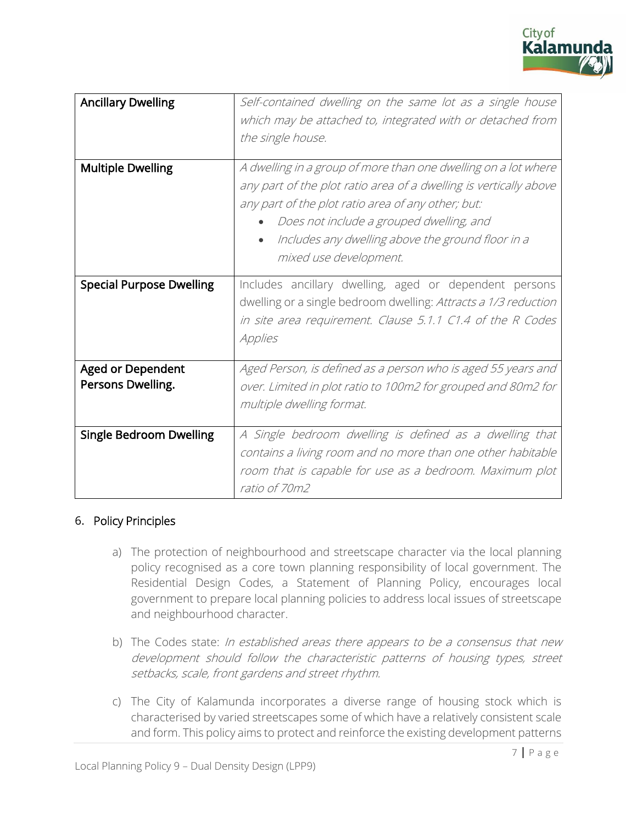

| <b>Ancillary Dwelling</b>                     | Self-contained dwelling on the same lot as a single house<br>which may be attached to, integrated with or detached from<br>the single house.                                                                                                                                                                                      |
|-----------------------------------------------|-----------------------------------------------------------------------------------------------------------------------------------------------------------------------------------------------------------------------------------------------------------------------------------------------------------------------------------|
| <b>Multiple Dwelling</b>                      | A dwelling in a group of more than one dwelling on a lot where<br>any part of the plot ratio area of a dwelling is vertically above<br>any part of the plot ratio area of any other; but:<br>Does not include a grouped dwelling, and<br>Includes any dwelling above the ground floor in a<br>$\bullet$<br>mixed use development. |
| <b>Special Purpose Dwelling</b>               | Includes ancillary dwelling, aged or dependent persons<br>dwelling or a single bedroom dwelling: Attracts a 1/3 reduction<br>in site area requirement. Clause 5.1.1 C1.4 of the R Codes<br>Applies                                                                                                                                |
| <b>Aged or Dependent</b><br>Persons Dwelling. | Aged Person, is defined as a person who is aged 55 years and<br>over. Limited in plot ratio to 100m2 for grouped and 80m2 for<br>multiple dwelling format.                                                                                                                                                                        |
| <b>Single Bedroom Dwelling</b>                | A Single bedroom dwelling is defined as a dwelling that<br>contains a living room and no more than one other habitable<br>room that is capable for use as a bedroom. Maximum plot<br>ratio of 70m2                                                                                                                                |

#### 6. Policy Principles

- a) The protection of neighbourhood and streetscape character via the local planning policy recognised as a core town planning responsibility of local government. The Residential Design Codes, a Statement of Planning Policy, encourages local government to prepare local planning policies to address local issues of streetscape and neighbourhood character.
- b) The Codes state: In established areas there appears to be a consensus that new development should follow the characteristic patterns of housing types, street setbacks, scale, front gardens and street rhythm.
- c) The City of Kalamunda incorporates a diverse range of housing stock which is characterised by varied streetscapes some of which have a relatively consistent scale and form. This policy aims to protect and reinforce the existing development patterns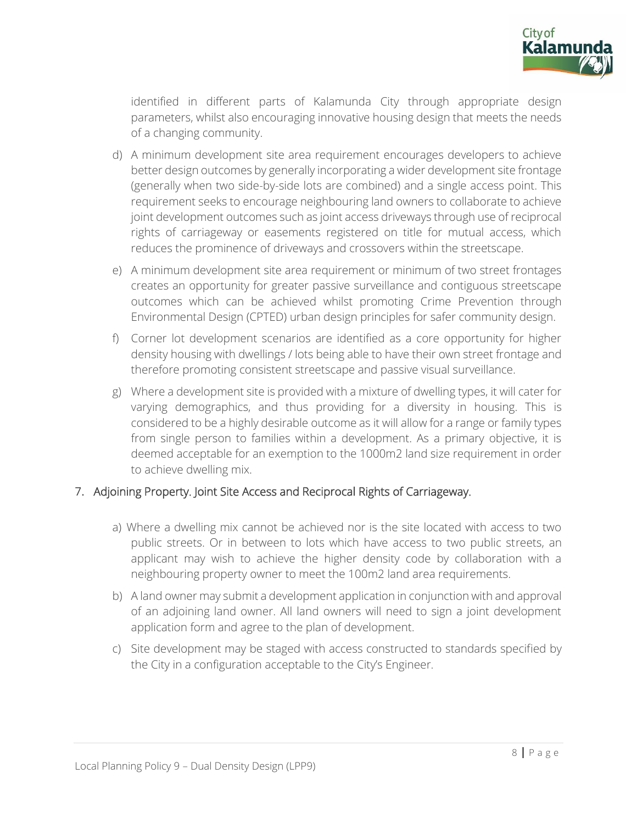

identified in different parts of Kalamunda City through appropriate design parameters, whilst also encouraging innovative housing design that meets the needs of a changing community.

- d) A minimum development site area requirement encourages developers to achieve better design outcomes by generally incorporating a wider development site frontage (generally when two side-by-side lots are combined) and a single access point. This requirement seeks to encourage neighbouring land owners to collaborate to achieve joint development outcomes such as joint access driveways through use of reciprocal rights of carriageway or easements registered on title for mutual access, which reduces the prominence of driveways and crossovers within the streetscape.
- e) A minimum development site area requirement or minimum of two street frontages creates an opportunity for greater passive surveillance and contiguous streetscape outcomes which can be achieved whilst promoting Crime Prevention through Environmental Design (CPTED) urban design principles for safer community design.
- f) Corner lot development scenarios are identified as a core opportunity for higher density housing with dwellings / lots being able to have their own street frontage and therefore promoting consistent streetscape and passive visual surveillance.
- g) Where a development site is provided with a mixture of dwelling types, it will cater for varying demographics, and thus providing for a diversity in housing. This is considered to be a highly desirable outcome as it will allow for a range or family types from single person to families within a development. As a primary objective, it is deemed acceptable for an exemption to the 1000m2 land size requirement in order to achieve dwelling mix.

#### 7. Adjoining Property. Joint Site Access and Reciprocal Rights of Carriageway.

- a) Where a dwelling mix cannot be achieved nor is the site located with access to two public streets. Or in between to lots which have access to two public streets, an applicant may wish to achieve the higher density code by collaboration with a neighbouring property owner to meet the 100m2 land area requirements.
- b) A land owner may submit a development application in conjunction with and approval of an adjoining land owner. All land owners will need to sign a joint development application form and agree to the plan of development.
- c) Site development may be staged with access constructed to standards specified by the City in a configuration acceptable to the City's Engineer.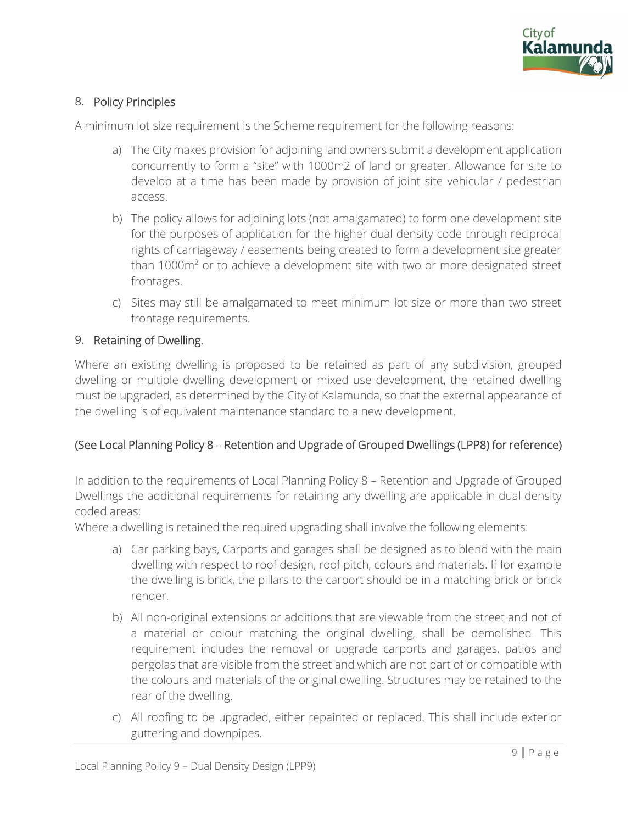

# 8. Policy Principles

A minimum lot size requirement is the Scheme requirement for the following reasons:

- a) The City makes provision for adjoining land owners submit a development application concurrently to form a "site" with 1000m2 of land or greater. Allowance for site to develop at a time has been made by provision of joint site vehicular / pedestrian access.
- b) The policy allows for adjoining lots (not amalgamated) to form one development site for the purposes of application for the higher dual density code through reciprocal rights of carriageway / easements being created to form a development site greater than  $1000m<sup>2</sup>$  or to achieve a development site with two or more designated street frontages.
- c) Sites may still be amalgamated to meet minimum lot size or more than two street frontage requirements.

#### 9. Retaining of Dwelling.

Where an existing dwelling is proposed to be retained as part of any subdivision, grouped dwelling or multiple dwelling development or mixed use development, the retained dwelling must be upgraded, as determined by the City of Kalamunda, so that the external appearance of the dwelling is of equivalent maintenance standard to a new development.

# (See Local Planning Policy 8 – Retention and Upgrade of Grouped Dwellings (LPP8) for reference)

In addition to the requirements of Local Planning Policy 8 – Retention and Upgrade of Grouped Dwellings the additional requirements for retaining any dwelling are applicable in dual density coded areas:

Where a dwelling is retained the required upgrading shall involve the following elements:

- a) Car parking bays, Carports and garages shall be designed as to blend with the main dwelling with respect to roof design, roof pitch, colours and materials. If for example the dwelling is brick, the pillars to the carport should be in a matching brick or brick render.
- b) All non-original extensions or additions that are viewable from the street and not of a material or colour matching the original dwelling, shall be demolished. This requirement includes the removal or upgrade carports and garages, patios and pergolas that are visible from the street and which are not part of or compatible with the colours and materials of the original dwelling. Structures may be retained to the rear of the dwelling.
- c) All roofing to be upgraded, either repainted or replaced. This shall include exterior guttering and downpipes.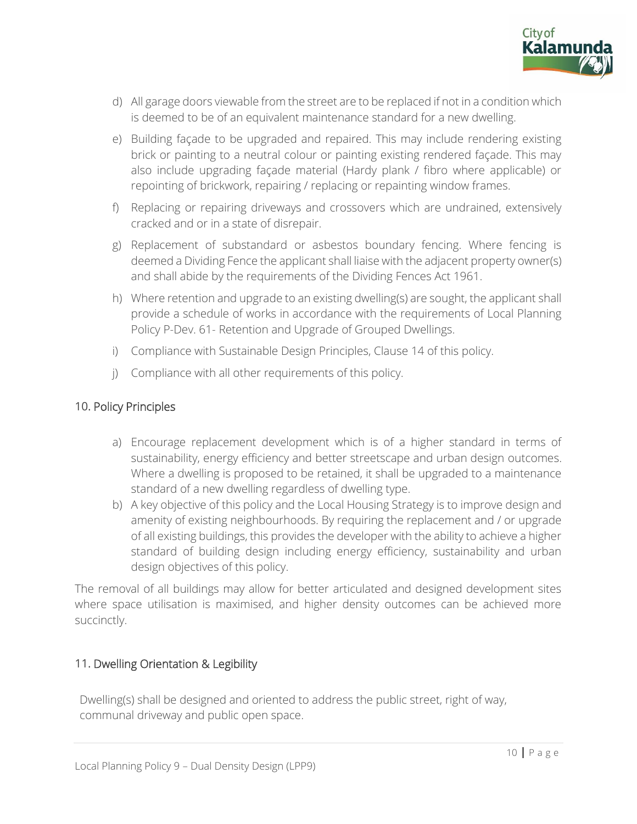

- d) All garage doors viewable from the street are to be replaced if not in a condition which is deemed to be of an equivalent maintenance standard for a new dwelling.
- e) Building façade to be upgraded and repaired. This may include rendering existing brick or painting to a neutral colour or painting existing rendered façade. This may also include upgrading façade material (Hardy plank / fibro where applicable) or repointing of brickwork, repairing / replacing or repainting window frames.
- f) Replacing or repairing driveways and crossovers which are undrained, extensively cracked and or in a state of disrepair.
- g) Replacement of substandard or asbestos boundary fencing. Where fencing is deemed a Dividing Fence the applicant shall liaise with the adjacent property owner(s) and shall abide by the requirements of the Dividing Fences Act 1961.
- h) Where retention and upgrade to an existing dwelling(s) are sought, the applicant shall provide a schedule of works in accordance with the requirements of Local Planning Policy P-Dev. 61- Retention and Upgrade of Grouped Dwellings.
- i) Compliance with Sustainable Design Principles, Clause 14 of this policy.
- j) Compliance with all other requirements of this policy.

#### 10. Policy Principles

- a) Encourage replacement development which is of a higher standard in terms of sustainability, energy efficiency and better streetscape and urban design outcomes. Where a dwelling is proposed to be retained, it shall be upgraded to a maintenance standard of a new dwelling regardless of dwelling type.
- b) A key objective of this policy and the Local Housing Strategy is to improve design and amenity of existing neighbourhoods. By requiring the replacement and / or upgrade of all existing buildings, this provides the developer with the ability to achieve a higher standard of building design including energy efficiency, sustainability and urban design objectives of this policy.

The removal of all buildings may allow for better articulated and designed development sites where space utilisation is maximised, and higher density outcomes can be achieved more succinctly.

# 11. Dwelling Orientation & Legibility

Dwelling(s) shall be designed and oriented to address the public street, right of way, communal driveway and public open space.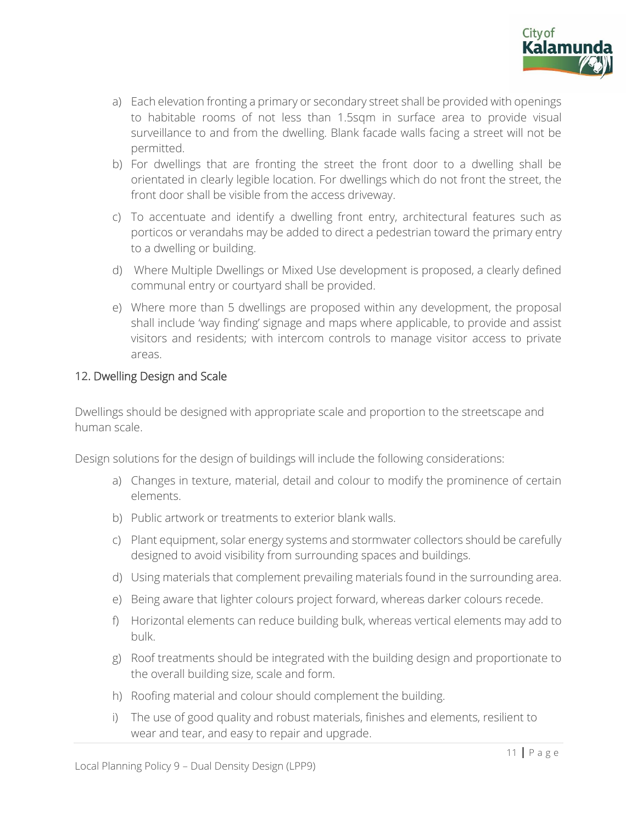

- a) Each elevation fronting a primary or secondary street shall be provided with openings to habitable rooms of not less than 1.5sqm in surface area to provide visual surveillance to and from the dwelling. Blank facade walls facing a street will not be permitted.
- b) For dwellings that are fronting the street the front door to a dwelling shall be orientated in clearly legible location. For dwellings which do not front the street, the front door shall be visible from the access driveway.
- c) To accentuate and identify a dwelling front entry, architectural features such as porticos or verandahs may be added to direct a pedestrian toward the primary entry to a dwelling or building.
- d) Where Multiple Dwellings or Mixed Use development is proposed, a clearly defined communal entry or courtyard shall be provided.
- e) Where more than 5 dwellings are proposed within any development, the proposal shall include 'way finding' signage and maps where applicable, to provide and assist visitors and residents; with intercom controls to manage visitor access to private areas.

#### 12. Dwelling Design and Scale

Dwellings should be designed with appropriate scale and proportion to the streetscape and human scale.

Design solutions for the design of buildings will include the following considerations:

- a) Changes in texture, material, detail and colour to modify the prominence of certain elements.
- b) Public artwork or treatments to exterior blank walls.
- c) Plant equipment, solar energy systems and stormwater collectors should be carefully designed to avoid visibility from surrounding spaces and buildings.
- d) Using materials that complement prevailing materials found in the surrounding area.
- e) Being aware that lighter colours project forward, whereas darker colours recede.
- f) Horizontal elements can reduce building bulk, whereas vertical elements may add to bulk.
- g) Roof treatments should be integrated with the building design and proportionate to the overall building size, scale and form.
- h) Roofing material and colour should complement the building.
- i) The use of good quality and robust materials, finishes and elements, resilient to wear and tear, and easy to repair and upgrade.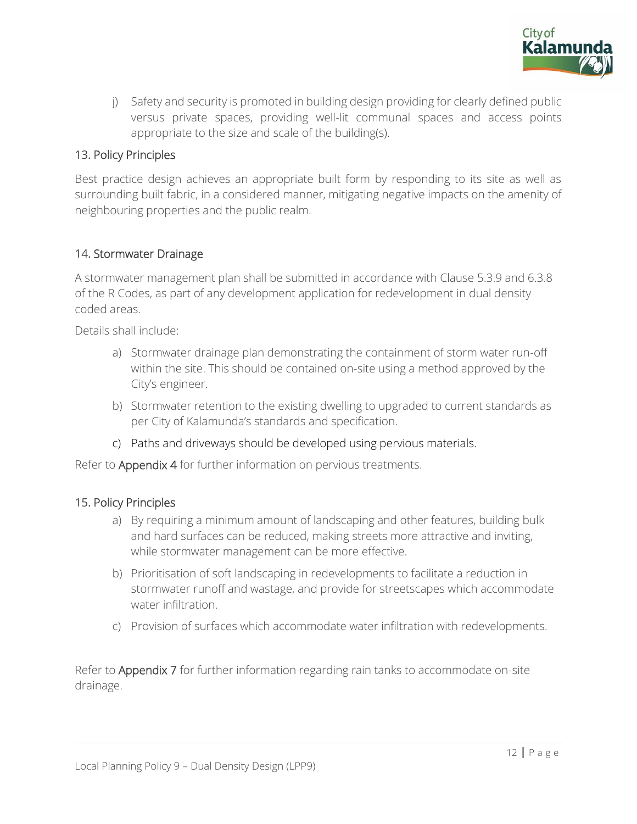

j) Safety and security is promoted in building design providing for clearly defined public versus private spaces, providing well-lit communal spaces and access points appropriate to the size and scale of the building(s).

# 13. Policy Principles

Best practice design achieves an appropriate built form by responding to its site as well as surrounding built fabric, in a considered manner, mitigating negative impacts on the amenity of neighbouring properties and the public realm.

#### 14. Stormwater Drainage

A stormwater management plan shall be submitted in accordance with Clause 5.3.9 and 6.3.8 of the R Codes, as part of any development application for redevelopment in dual density coded areas.

Details shall include:

- a) Stormwater drainage plan demonstrating the containment of storm water run-off within the site. This should be contained on-site using a method approved by the City's engineer.
- b) Stormwater retention to the existing dwelling to upgraded to current standards as per City of Kalamunda's standards and specification.
- c) Paths and driveways should be developed using pervious materials.

Refer to Appendix 4 for further information on pervious treatments.

#### 15. Policy Principles

- a) By requiring a minimum amount of landscaping and other features, building bulk and hard surfaces can be reduced, making streets more attractive and inviting, while stormwater management can be more effective.
- b) Prioritisation of soft landscaping in redevelopments to facilitate a reduction in stormwater runoff and wastage, and provide for streetscapes which accommodate water infiltration.
- c) Provision of surfaces which accommodate water infiltration with redevelopments.

Refer to Appendix 7 for further information regarding rain tanks to accommodate on-site drainage.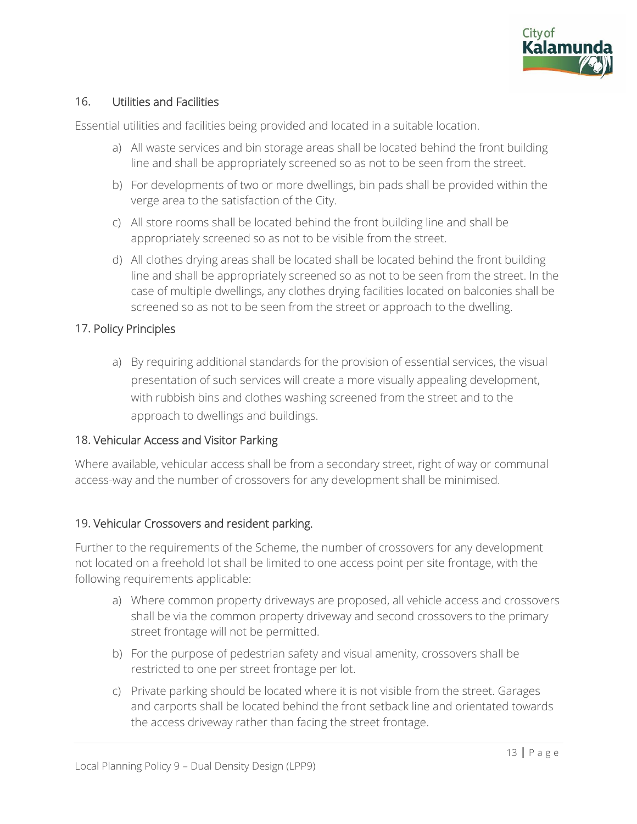

# 16. Utilities and Facilities

Essential utilities and facilities being provided and located in a suitable location.

- a) All waste services and bin storage areas shall be located behind the front building line and shall be appropriately screened so as not to be seen from the street.
- b) For developments of two or more dwellings, bin pads shall be provided within the verge area to the satisfaction of the City.
- c) All store rooms shall be located behind the front building line and shall be appropriately screened so as not to be visible from the street.
- d) All clothes drying areas shall be located shall be located behind the front building line and shall be appropriately screened so as not to be seen from the street. In the case of multiple dwellings, any clothes drying facilities located on balconies shall be screened so as not to be seen from the street or approach to the dwelling.

#### 17. Policy Principles

a) By requiring additional standards for the provision of essential services, the visual presentation of such services will create a more visually appealing development, with rubbish bins and clothes washing screened from the street and to the approach to dwellings and buildings.

#### 18. Vehicular Access and Visitor Parking

Where available, vehicular access shall be from a secondary street, right of way or communal access-way and the number of crossovers for any development shall be minimised.

#### 19. Vehicular Crossovers and resident parking.

Further to the requirements of the Scheme, the number of crossovers for any development not located on a freehold lot shall be limited to one access point per site frontage, with the following requirements applicable:

- a) Where common property driveways are proposed, all vehicle access and crossovers shall be via the common property driveway and second crossovers to the primary street frontage will not be permitted.
- b) For the purpose of pedestrian safety and visual amenity, crossovers shall be restricted to one per street frontage per lot.
- c) Private parking should be located where it is not visible from the street. Garages and carports shall be located behind the front setback line and orientated towards the access driveway rather than facing the street frontage.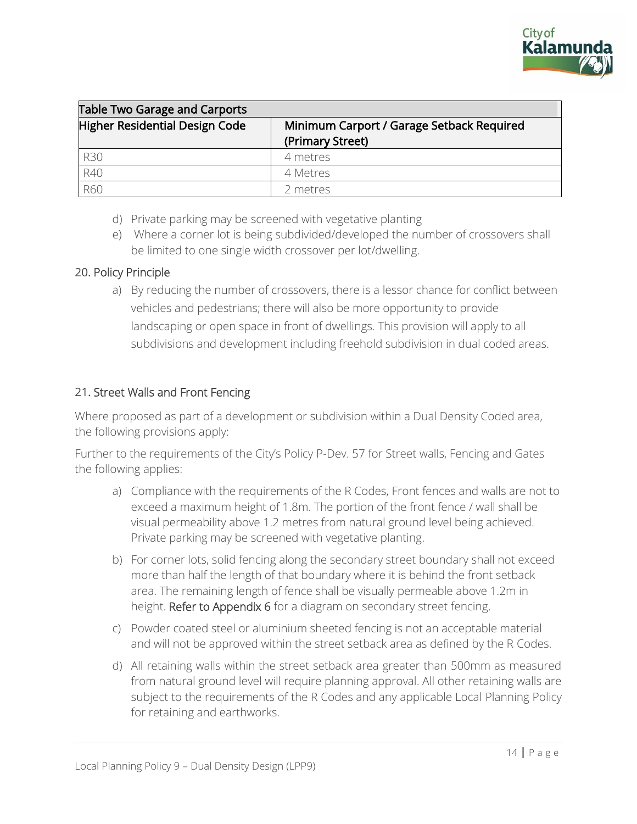

| <b>Table Two Garage and Carports</b> |                                           |  |
|--------------------------------------|-------------------------------------------|--|
| Higher Residential Design Code       | Minimum Carport / Garage Setback Required |  |
|                                      | (Primary Street)                          |  |
| <b>R30</b>                           | 4 metres                                  |  |
| R40                                  | 4 Metres                                  |  |
| R60                                  | 2 metres                                  |  |

- d) Private parking may be screened with vegetative planting
- e) Where a corner lot is being subdivided/developed the number of crossovers shall be limited to one single width crossover per lot/dwelling.

#### 20. Policy Principle

a) By reducing the number of crossovers, there is a lessor chance for conflict between vehicles and pedestrians; there will also be more opportunity to provide landscaping or open space in front of dwellings. This provision will apply to all subdivisions and development including freehold subdivision in dual coded areas.

#### 21. Street Walls and Front Fencing

Where proposed as part of a development or subdivision within a Dual Density Coded area, the following provisions apply:

Further to the requirements of the City's Policy P-Dev. 57 for Street walls, Fencing and Gates the following applies:

- a) Compliance with the requirements of the R Codes, Front fences and walls are not to exceed a maximum height of 1.8m. The portion of the front fence / wall shall be visual permeability above 1.2 metres from natural ground level being achieved. Private parking may be screened with vegetative planting.
- b) For corner lots, solid fencing along the secondary street boundary shall not exceed more than half the length of that boundary where it is behind the front setback area. The remaining length of fence shall be visually permeable above 1.2m in height. Refer to Appendix 6 for a diagram on secondary street fencing.
- c) Powder coated steel or aluminium sheeted fencing is not an acceptable material and will not be approved within the street setback area as defined by the R Codes.
- d) All retaining walls within the street setback area greater than 500mm as measured from natural ground level will require planning approval. All other retaining walls are subject to the requirements of the R Codes and any applicable Local Planning Policy for retaining and earthworks.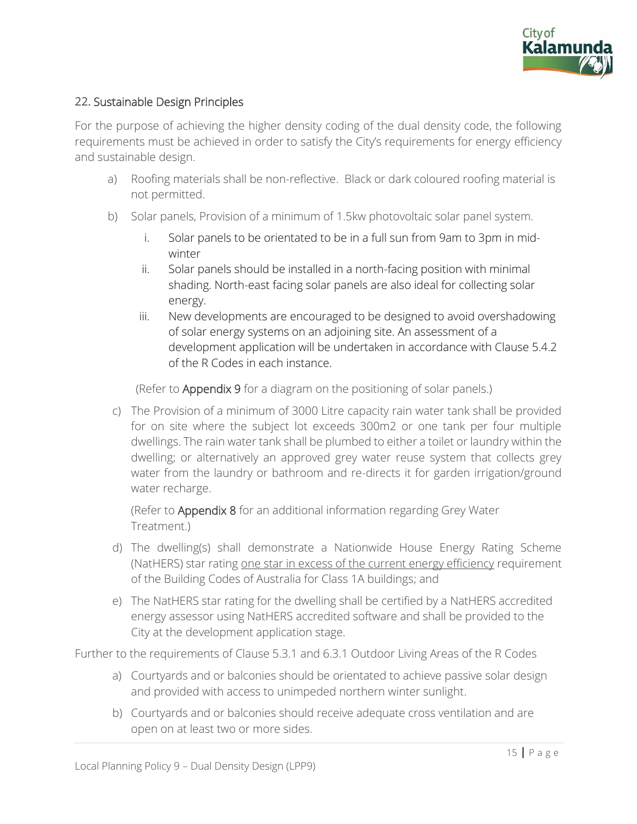

#### 22. Sustainable Design Principles

For the purpose of achieving the higher density coding of the dual density code, the following requirements must be achieved in order to satisfy the City's requirements for energy efficiency and sustainable design.

- a) Roofing materials shall be non-reflective. Black or dark coloured roofing material is not permitted.
- b) Solar panels, Provision of a minimum of 1.5kw photovoltaic solar panel system.
	- i. Solar panels to be orientated to be in a full sun from 9am to 3pm in midwinter
	- ii. Solar panels should be installed in a north-facing position with minimal shading. North-east facing solar panels are also ideal for collecting solar energy.
	- iii. New developments are encouraged to be designed to avoid overshadowing of solar energy systems on an adjoining site. An assessment of a development application will be undertaken in accordance with Clause 5.4.2 of the R Codes in each instance.

(Refer to Appendix 9 for a diagram on the positioning of solar panels.)

c) The Provision of a minimum of 3000 Litre capacity rain water tank shall be provided for on site where the subject lot exceeds 300m2 or one tank per four multiple dwellings. The rain water tank shall be plumbed to either a toilet or laundry within the dwelling; or alternatively an approved grey water reuse system that collects grey water from the laundry or bathroom and re-directs it for garden irrigation/ground water recharge.

(Refer to Appendix 8 for an additional information regarding Grey Water Treatment.)

- d) The dwelling(s) shall demonstrate a Nationwide House Energy Rating Scheme (NatHERS) star rating one star in excess of the current energy efficiency requirement of the Building Codes of Australia for Class 1A buildings; and
- e) The NatHERS star rating for the dwelling shall be certified by a NatHERS accredited energy assessor using NatHERS accredited software and shall be provided to the City at the development application stage.

Further to the requirements of Clause 5.3.1 and 6.3.1 Outdoor Living Areas of the R Codes

- a) Courtyards and or balconies should be orientated to achieve passive solar design and provided with access to unimpeded northern winter sunlight.
- b) Courtyards and or balconies should receive adequate cross ventilation and are open on at least two or more sides.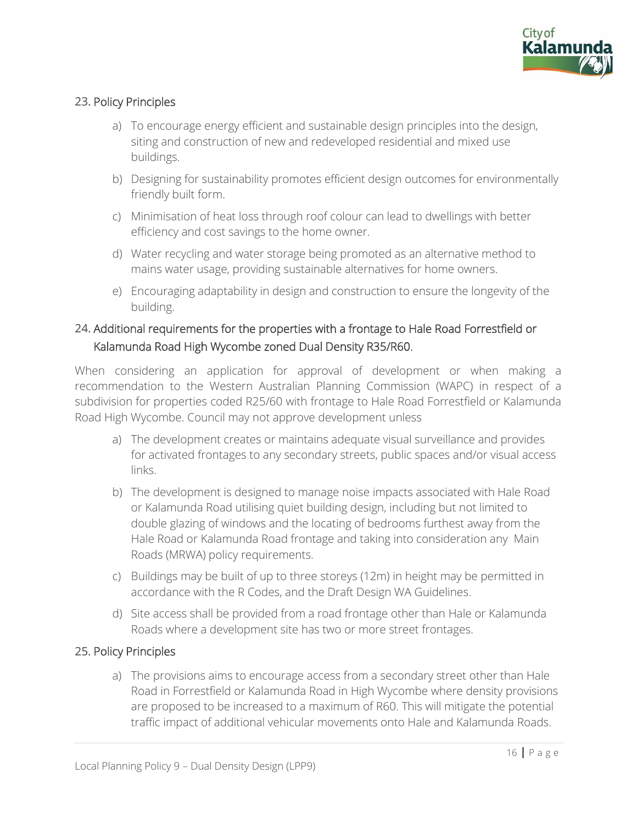

# 23. Policy Principles

- a) To encourage energy efficient and sustainable design principles into the design, siting and construction of new and redeveloped residential and mixed use buildings.
- b) Designing for sustainability promotes efficient design outcomes for environmentally friendly built form.
- c) Minimisation of heat loss through roof colour can lead to dwellings with better efficiency and cost savings to the home owner.
- d) Water recycling and water storage being promoted as an alternative method to mains water usage, providing sustainable alternatives for home owners.
- e) Encouraging adaptability in design and construction to ensure the longevity of the building.

# 24. Additional requirements for the properties with a frontage to Hale Road Forrestfield or Kalamunda Road High Wycombe zoned Dual Density R35/R60.

When considering an application for approval of development or when making a recommendation to the Western Australian Planning Commission (WAPC) in respect of a subdivision for properties coded R25/60 with frontage to Hale Road Forrestfield or Kalamunda Road High Wycombe. Council may not approve development unless

- a) The development creates or maintains adequate visual surveillance and provides for activated frontages to any secondary streets, public spaces and/or visual access links.
- b) The development is designed to manage noise impacts associated with Hale Road or Kalamunda Road utilising quiet building design, including but not limited to double glazing of windows and the locating of bedrooms furthest away from the Hale Road or Kalamunda Road frontage and taking into consideration any Main Roads (MRWA) policy requirements.
- c) Buildings may be built of up to three storeys (12m) in height may be permitted in accordance with the R Codes, and the Draft Design WA Guidelines.
- d) Site access shall be provided from a road frontage other than Hale or Kalamunda Roads where a development site has two or more street frontages.

#### 25. Policy Principles

a) The provisions aims to encourage access from a secondary street other than Hale Road in Forrestfield or Kalamunda Road in High Wycombe where density provisions are proposed to be increased to a maximum of R60. This will mitigate the potential traffic impact of additional vehicular movements onto Hale and Kalamunda Roads.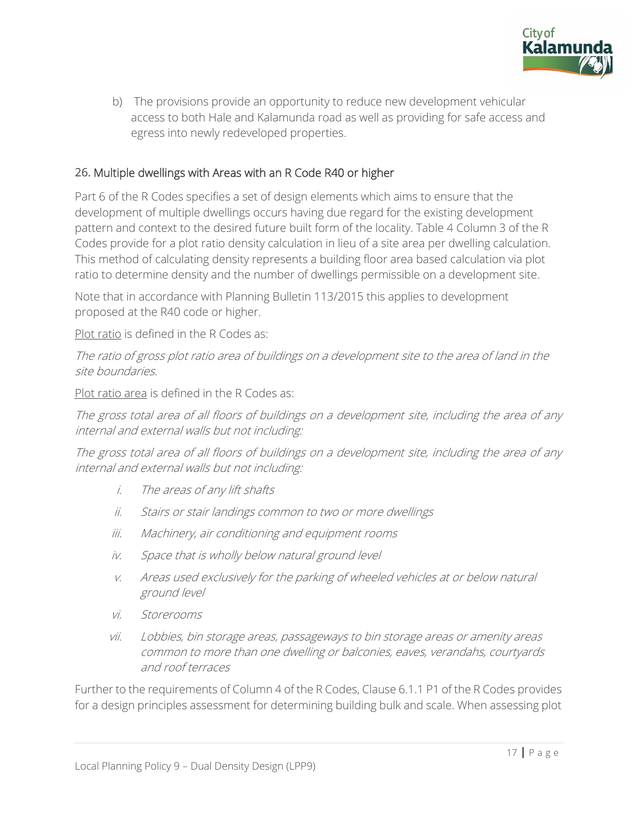

b) The provisions provide an opportunity to reduce new development vehicular access to both Hale and Kalamunda road as well as providing for safe access and egress into newly redeveloped properties.

# 26. Multiple dwellings with Areas with an R Code R40 or higher

Part 6 of the R Codes specifies a set of design elements which aims to ensure that the development of multiple dwellings occurs having due regard for the existing development pattern and context to the desired future built form of the locality. Table 4 Column 3 of the R Codes provide for a plot ratio density calculation in lieu of a site area per dwelling calculation. This method of calculating density represents a building floor area based calculation via plot ratio to determine density and the number of dwellings permissible on a development site.

Note that in accordance with Planning Bulletin 113/2015 this applies to development proposed at the R40 code or higher.

Plot ratio is defined in the R Codes as:

The ratio of gross plot ratio area of buildings on a development site to the area of land in the site boundaries.

Plot ratio area is defined in the R Codes as:

The gross total area of all floors of buildings on a development site, including the area of any internal and external walls but not including:

The gross total area of all floors of buildings on a development site, including the area of any internal and external walls but not including:

- i. The areas of any lift shafts
- ii. Stairs or stair landings common to two or more dwellings
- iii. Machinery, air conditioning and equipment rooms
- iv. Space that is wholly below natural ground level
- v. Areas used exclusively for the parking of wheeled vehicles at or below natural ground level
- vi. Storerooms
- vii. Lobbies, bin storage areas, passageways to bin storage areas or amenity areas common to more than one dwelling or balconies, eaves, verandahs, courtyards and roof terraces

Further to the requirements of Column 4 of the R Codes, Clause 6.1.1 P1 of the R Codes provides for a design principles assessment for determining building bulk and scale. When assessing plot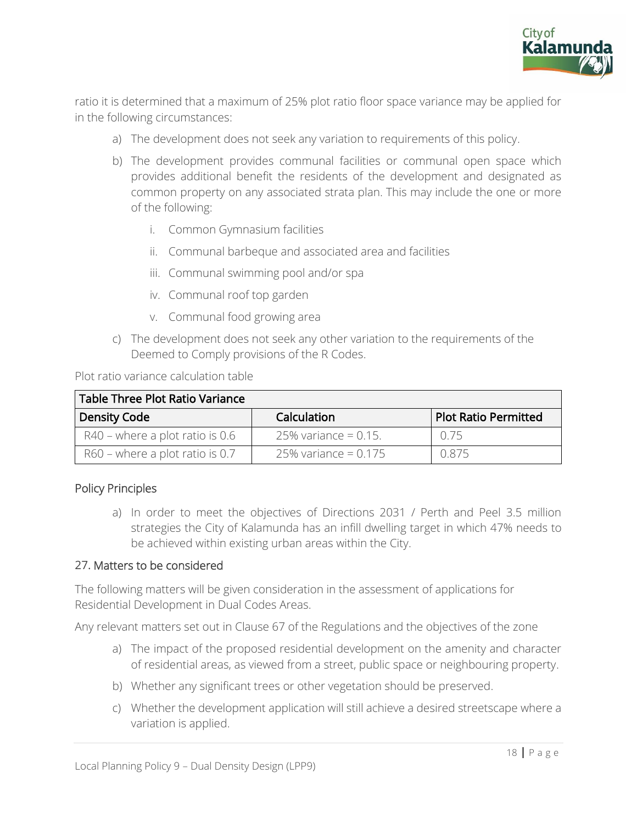

ratio it is determined that a maximum of 25% plot ratio floor space variance may be applied for in the following circumstances:

- a) The development does not seek any variation to requirements of this policy.
- b) The development provides communal facilities or communal open space which provides additional benefit the residents of the development and designated as common property on any associated strata plan. This may include the one or more of the following:
	- i. Common Gymnasium facilities
	- ii. Communal barbeque and associated area and facilities
	- iii. Communal swimming pool and/or spa
	- iv. Communal roof top garden
	- v. Communal food growing area
- c) The development does not seek any other variation to the requirements of the Deemed to Comply provisions of the R Codes.

Plot ratio variance calculation table

| Table Three Plot Ratio Variance   |                         |                             |
|-----------------------------------|-------------------------|-----------------------------|
| <b>Density Code</b>               | Calculation             | <b>Plot Ratio Permitted</b> |
| $R40$ – where a plot ratio is 0.6 | 25% variance = $0.15$ . | 0.75                        |
| $R60$ – where a plot ratio is 0.7 | 25% variance = $0.175$  | ገ ጸ75                       |

#### Policy Principles

a) In order to meet the objectives of Directions 2031 / Perth and Peel 3.5 million strategies the City of Kalamunda has an infill dwelling target in which 47% needs to be achieved within existing urban areas within the City.

#### 27. Matters to be considered

The following matters will be given consideration in the assessment of applications for Residential Development in Dual Codes Areas.

Any relevant matters set out in Clause 67 of the Regulations and the objectives of the zone

- a) The impact of the proposed residential development on the amenity and character of residential areas, as viewed from a street, public space or neighbouring property.
- b) Whether any significant trees or other vegetation should be preserved.
- c) Whether the development application will still achieve a desired streetscape where a variation is applied.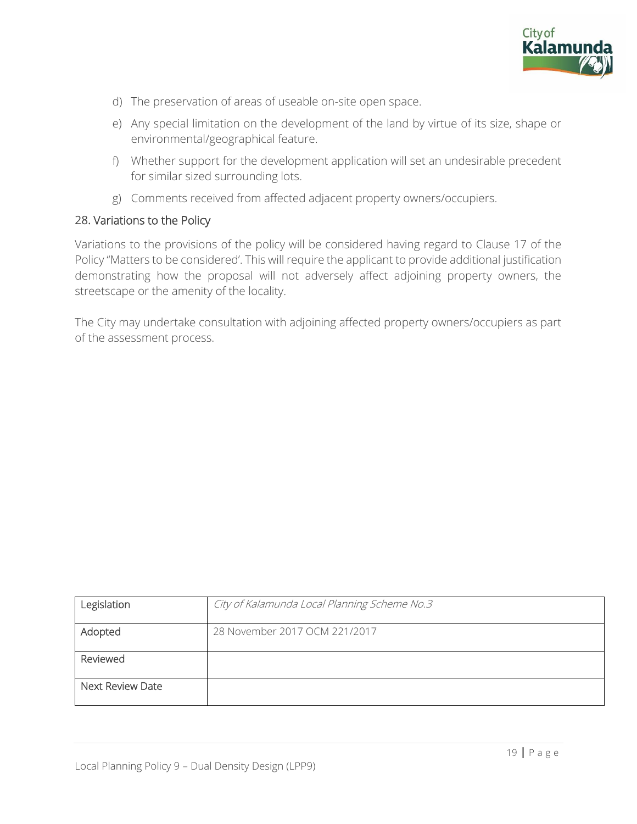

- d) The preservation of areas of useable on-site open space.
- e) Any special limitation on the development of the land by virtue of its size, shape or environmental/geographical feature.
- f) Whether support for the development application will set an undesirable precedent for similar sized surrounding lots.
- g) Comments received from affected adjacent property owners/occupiers.

#### 28. Variations to the Policy

Variations to the provisions of the policy will be considered having regard to Clause 17 of the Policy "Matters to be considered'. This will require the applicant to provide additional justification demonstrating how the proposal will not adversely affect adjoining property owners, the streetscape or the amenity of the locality.

The City may undertake consultation with adjoining affected property owners/occupiers as part of the assessment process.

| Legislation      | City of Kalamunda Local Planning Scheme No.3 |
|------------------|----------------------------------------------|
| Adopted          | 28 November 2017 OCM 221/2017                |
| Reviewed         |                                              |
| Next Review Date |                                              |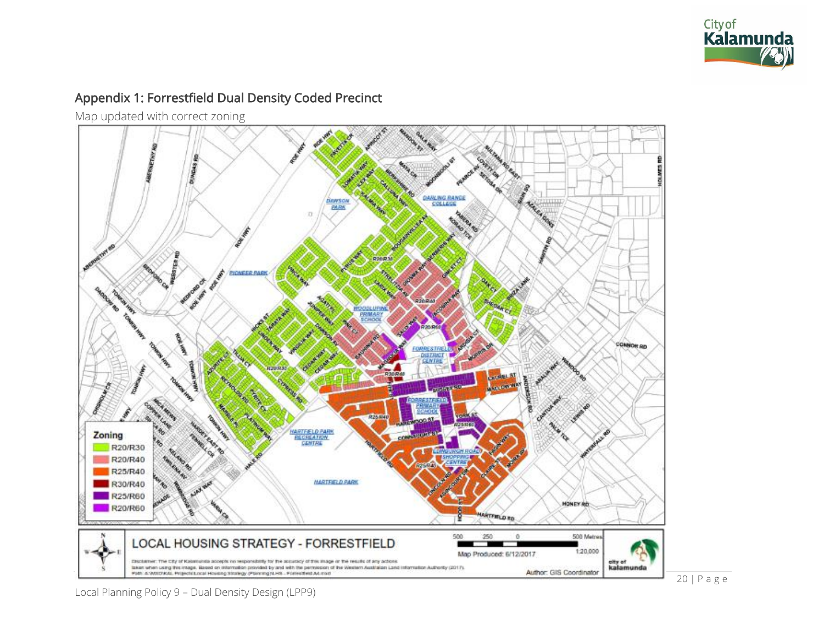

# Appendix 1: Forrestfield Dual Density Coded Precinct

Map updated with correct zoning

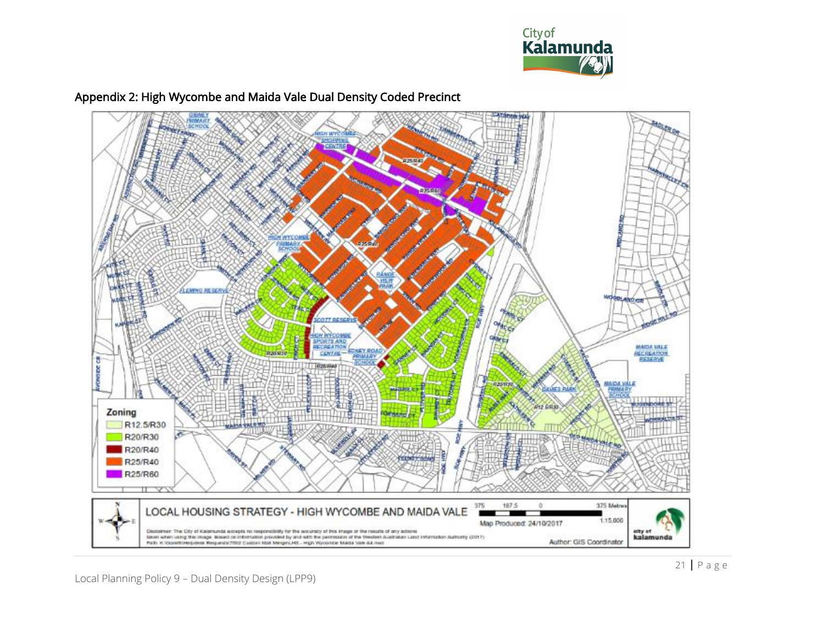



# Appendix 2: High Wycombe and Maida Vale Dual Density Coded Precinct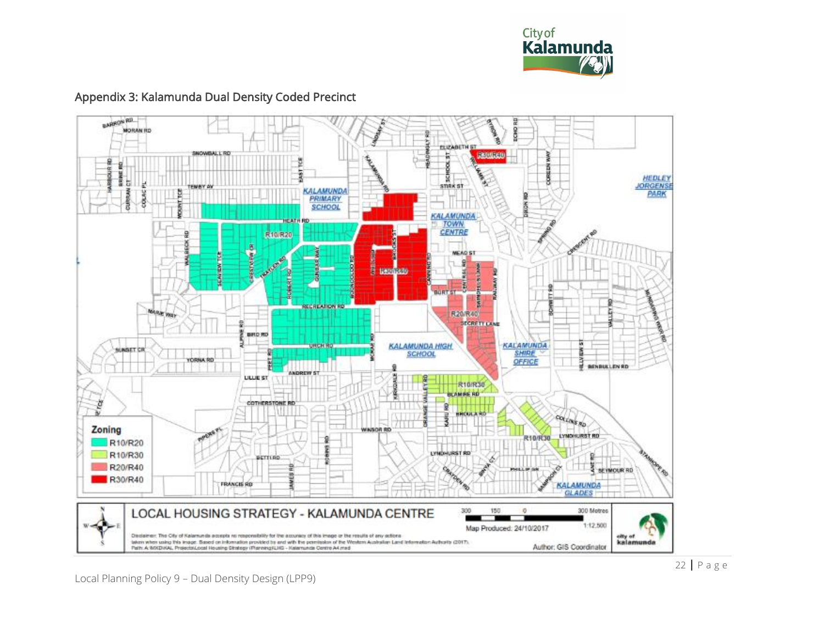

#### **BARROW RD. BON RD MORAN RD FLIZABETH ST INOWEALL RD** 180001010  $\frac{5}{\text{snk} \cdot \text{sr}}$ HEDLEY Б JORGENSE **KALAMUNDA** CURRENA **DOOS PARK SCHOOL KALAMUNDA** TOWN<br>CENTRE R10/R20 stylen a **NEAD ST** 9 쿟 **LEDISLE** sa. **Ball BURT ST RECREATION RD ARE WAY** R20/R40 **STORETT LANE BRD RD** KALAMUNDA HIGH **KALAMUNDA** SUNSET CR SHIRE **CIRKUL RD** OFFICE **BENBULLEN RD** ANDREW ST **LILLIE ST** 日 **R10/R30 BLAM RE RD** 뙀 ğ **COTHERSTONE RD** g n n **HOULA** COLORS RD E Zoning **WINSOR RD LYMORURST RD** R10/R30 R10/R20 LYNDHUSST RD R10/R30 BETTLRD **CARDINAL** R20/R40 SEYMOUR RD c, R30/R40 **FRANCIS RD KALAMUNDA GLADES** LOCAL HOUSING STRATEGY - KALAMUNDA CENTRE 300 150  $\overline{v}$ 300 Motres 1:12,500 Map Produced: 24/10/2017 Declaimer: The City of Kalamunda accepts no responsibility for the accuracy of this image or the results of any actions elty of<br>kalamunda teken when using this image. Based on information provided by and with the permission of the Western Australian Land Information Authority (2017).<br>Park: A: MNDHAL, Protects/Local Housing Ginstep: (Planning)(1HB - Kalemunde Author: GIS Coordinator

# Appendix 3: Kalamunda Dual Density Coded Precinct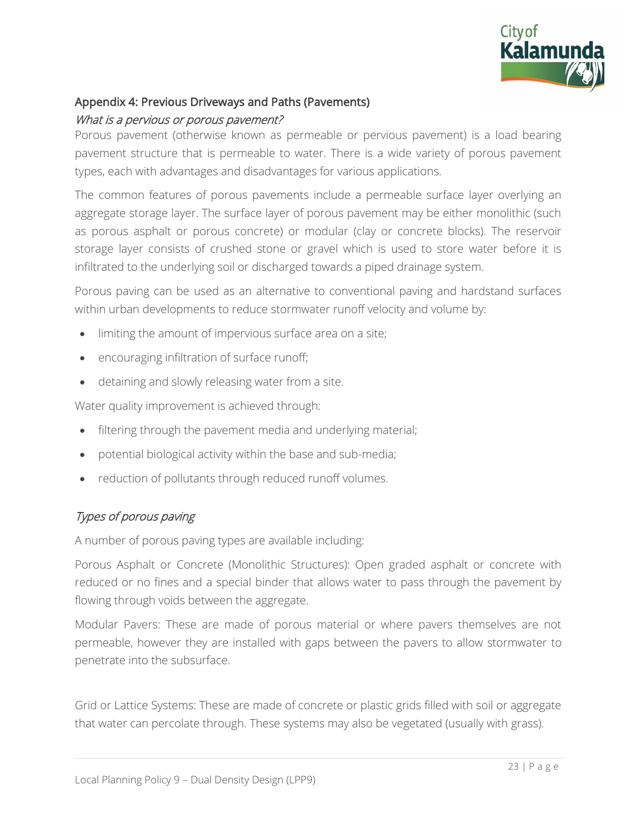

# Appendix 4: Previous Driveways and Paths (Pavements)

#### What is a pervious or porous pavement?

Porous pavement (otherwise known as permeable or pervious pavement) is a load bearing pavement structure that is permeable to water. There is a wide variety of porous pavement types, each with advantages and disadvantages for various applications.

The common features of porous pavements include a permeable surface layer overlying an aggregate storage layer. The surface layer of porous pavement may be either monolithic (such as porous asphalt or porous concrete) or modular (clay or concrete blocks). The reservoir storage layer consists of crushed stone or gravel which is used to store water before it is infiltrated to the underlying soil or discharged towards a piped drainage system.

Porous paving can be used as an alternative to conventional paving and hardstand surfaces within urban developments to reduce stormwater runoff velocity and volume by:

- limiting the amount of impervious surface area on a site;
- encouraging infiltration of surface runoff;
- detaining and slowly releasing water from a site.

Water quality improvement is achieved through:

- filtering through the pavement media and underlying material;
- potential biological activity within the base and sub-media;
- reduction of pollutants through reduced runoff volumes.

# Types of porous paving

A number of porous paving types are available including:

Porous Asphalt or Concrete (Monolithic Structures): Open graded asphalt or concrete with reduced or no fines and a special binder that allows water to pass through the pavement by flowing through voids between the aggregate.

Modular Pavers: These are made of porous material or where pavers themselves are not permeable, however they are installed with gaps between the pavers to allow stormwater to penetrate into the subsurface.

Grid or Lattice Systems: These are made of concrete or plastic grids filled with soil or aggregate that water can percolate through. These systems may also be vegetated (usually with grass).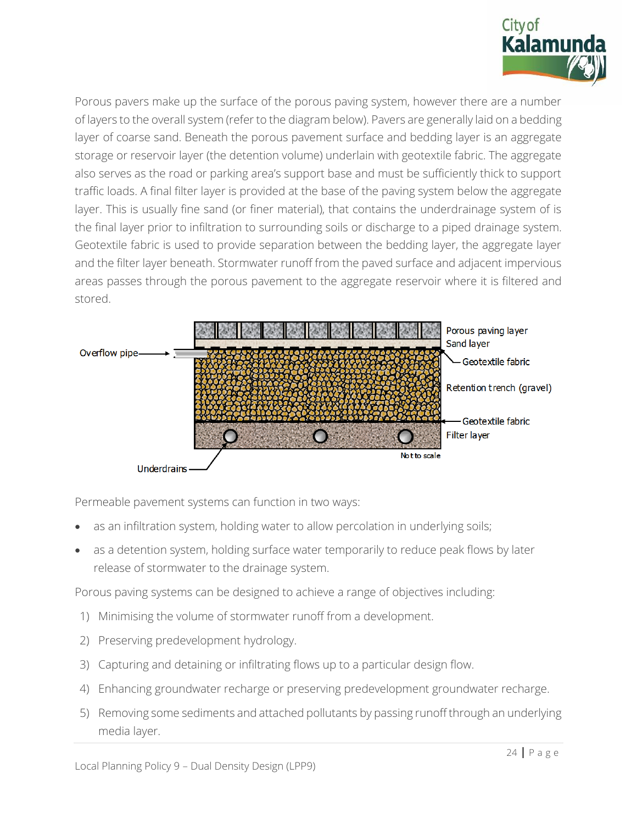

Porous pavers make up the surface of the porous paving system, however there are a number of layers to the overall system (refer to the diagram below). Pavers are generally laid on a bedding layer of coarse sand. Beneath the porous pavement surface and bedding layer is an aggregate storage or reservoir layer (the detention volume) underlain with geotextile fabric. The aggregate also serves as the road or parking area's support base and must be sufficiently thick to support traffic loads. A final filter layer is provided at the base of the paving system below the aggregate layer. This is usually fine sand (or finer material), that contains the underdrainage system of is the final layer prior to infiltration to surrounding soils or discharge to a piped drainage system. Geotextile fabric is used to provide separation between the bedding layer, the aggregate layer and the filter layer beneath. Stormwater runoff from the paved surface and adjacent impervious areas passes through the porous pavement to the aggregate reservoir where it is filtered and stored.



Permeable pavement systems can function in two ways:

- as an infiltration system, holding water to allow percolation in underlying soils;
- as a detention system, holding surface water temporarily to reduce peak flows by later release of stormwater to the drainage system.

Porous paving systems can be designed to achieve a range of objectives including:

- 1) Minimising the volume of stormwater runoff from a development.
- 2) Preserving predevelopment hydrology.
- 3) Capturing and detaining or infiltrating flows up to a particular design flow.
- 4) Enhancing groundwater recharge or preserving predevelopment groundwater recharge.
- 5) Removing some sediments and attached pollutants by passing runoff through an underlying media layer.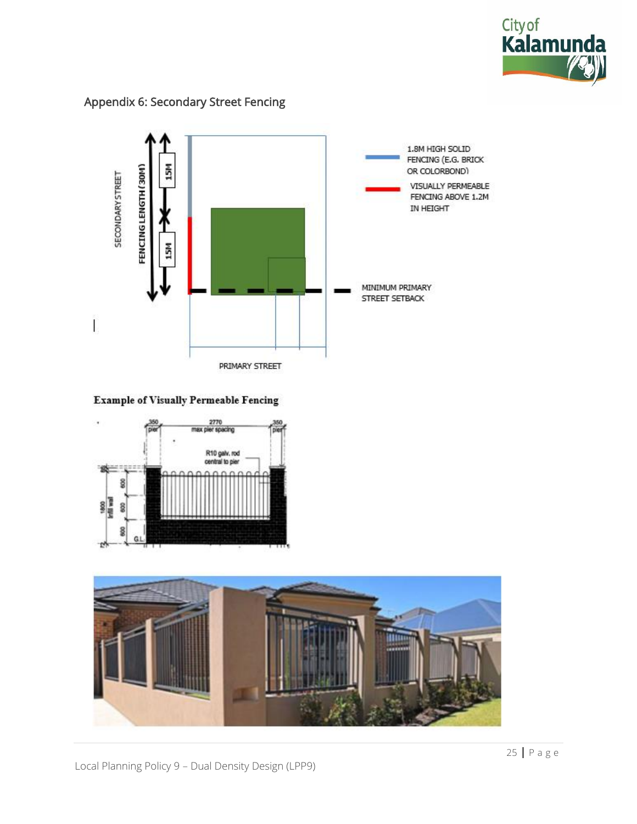

#### Appendix 6: Secondary Street Fencing



#### **Example of Visually Permeable Fencing**



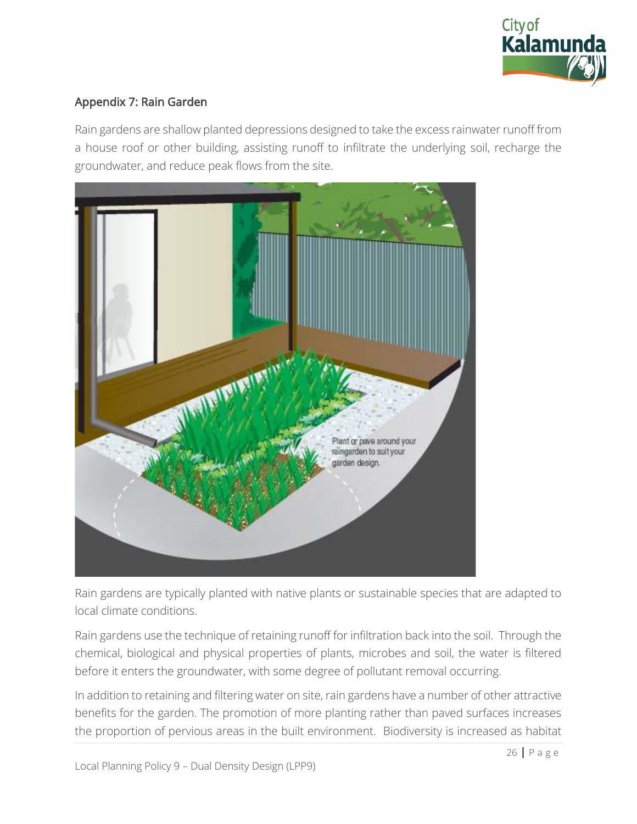

# Appendix 7: Rain Garden

Rain gardens are shallow planted depressions designed to take the excess rainwater runoff from a house roof or other building, assisting runoff to infiltrate the underlying soil, recharge the groundwater, and reduce peak flows from the site.



Rain gardens are typically planted with native plants or sustainable species that are adapted to local climate conditions.

Rain gardens use the technique of retaining runoff for infiltration back into the soil. Through the chemical, biological and physical properties of plants, microbes and soil, the water is filtered before it enters the groundwater, with some degree of pollutant removal occurring.

In addition to retaining and filtering water on site, rain gardens have a number of other attractive benefits for the garden. The promotion of more planting rather than paved surfaces increases the proportion of pervious areas in the built environment. Biodiversity is increased as habitat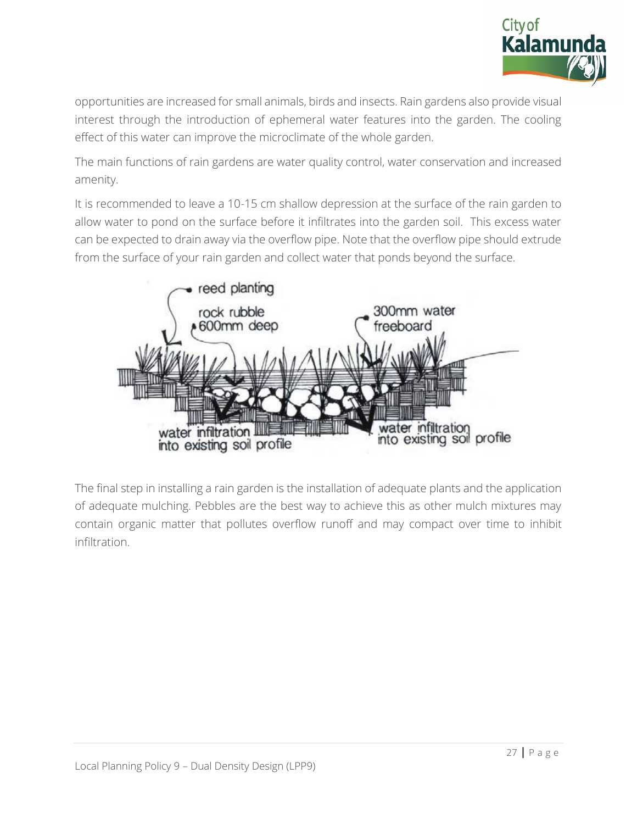

opportunities are increased for small animals, birds and insects. Rain gardens also provide visual interest through the introduction of ephemeral water features into the garden. The cooling effect of this water can improve the microclimate of the whole garden.

The main functions of rain gardens are water quality control, water conservation and increased amenity.

It is recommended to leave a 10-15 cm shallow depression at the surface of the rain garden to allow water to pond on the surface before it infiltrates into the garden soil. This excess water can be expected to drain away via the overflow pipe. Note that the overflow pipe should extrude from the surface of your rain garden and collect water that ponds beyond the surface.



The final step in installing a rain garden is the installation of adequate plants and the application of adequate mulching. Pebbles are the best way to achieve this as other mulch mixtures may contain organic matter that pollutes overflow runoff and may compact over time to inhibit infiltration.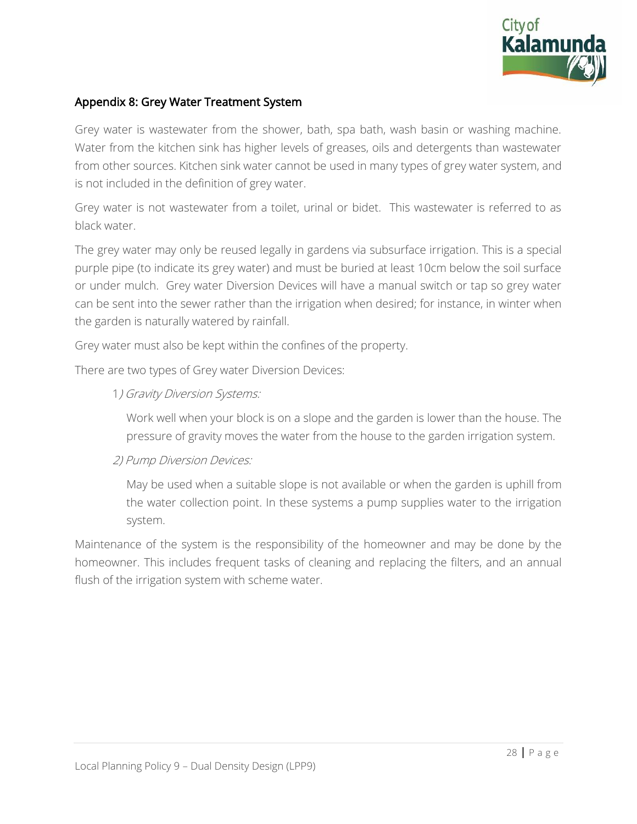

# Appendix 8: Grey Water Treatment System

Grey water is wastewater from the shower, bath, spa bath, wash basin or washing machine. Water from the kitchen sink has higher levels of greases, oils and detergents than wastewater from other sources. Kitchen sink water cannot be used in many types of grey water system, and is not included in the definition of grey water.

Grey water is not wastewater from a toilet, urinal or bidet. This wastewater is referred to as black water.

The grey water may only be reused legally in gardens via subsurface irrigation. This is a special purple pipe (to indicate its grey water) and must be buried at least 10cm below the soil surface or under mulch. Grey water Diversion Devices will have a manual switch or tap so grey water can be sent into the sewer rather than the irrigation when desired; for instance, in winter when the garden is naturally watered by rainfall.

Grey water must also be kept within the confines of the property.

There are two types of Grey water Diversion Devices:

#### 1) Gravity Diversion Systems:

Work well when your block is on a slope and the garden is lower than the house. The pressure of gravity moves the water from the house to the garden irrigation system.

#### 2) Pump Diversion Devices:

May be used when a suitable slope is not available or when the garden is uphill from the water collection point. In these systems a pump supplies water to the irrigation system.

Maintenance of the system is the responsibility of the homeowner and may be done by the homeowner. This includes frequent tasks of cleaning and replacing the filters, and an annual flush of the irrigation system with scheme water.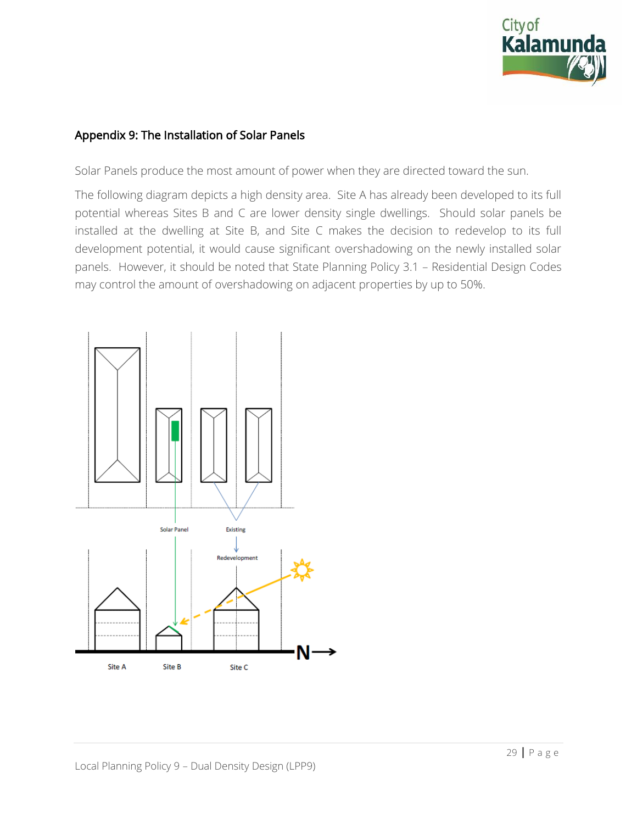

#### Appendix 9: The Installation of Solar Panels

Solar Panels produce the most amount of power when they are directed toward the sun.

The following diagram depicts a high density area. Site A has already been developed to its full potential whereas Sites B and C are lower density single dwellings. Should solar panels be installed at the dwelling at Site B, and Site C makes the decision to redevelop to its full development potential, it would cause significant overshadowing on the newly installed solar panels. However, it should be noted that State Planning Policy 3.1 – Residential Design Codes may control the amount of overshadowing on adjacent properties by up to 50%.

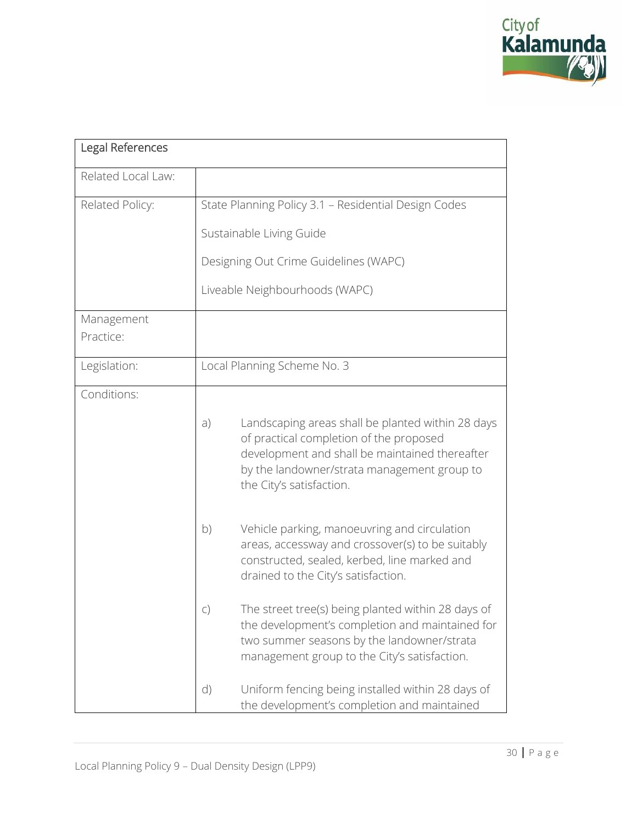

| Legal References        |              |                                                                                                                                                                                                                           |
|-------------------------|--------------|---------------------------------------------------------------------------------------------------------------------------------------------------------------------------------------------------------------------------|
| Related Local Law:      |              |                                                                                                                                                                                                                           |
| Related Policy:         |              | State Planning Policy 3.1 - Residential Design Codes                                                                                                                                                                      |
|                         |              | Sustainable Living Guide                                                                                                                                                                                                  |
|                         |              | Designing Out Crime Guidelines (WAPC)                                                                                                                                                                                     |
|                         |              | Liveable Neighbourhoods (WAPC)                                                                                                                                                                                            |
| Management<br>Practice: |              |                                                                                                                                                                                                                           |
| Legislation:            |              | Local Planning Scheme No. 3                                                                                                                                                                                               |
| Conditions:             |              |                                                                                                                                                                                                                           |
|                         | a)           | Landscaping areas shall be planted within 28 days<br>of practical completion of the proposed<br>development and shall be maintained thereafter<br>by the landowner/strata management group to<br>the City's satisfaction. |
|                         | b)           | Vehicle parking, manoeuvring and circulation<br>areas, accessway and crossover(s) to be suitably<br>constructed, sealed, kerbed, line marked and<br>drained to the City's satisfaction.                                   |
|                         | $\mathsf{C}$ | The street tree(s) being planted within 28 days of<br>the development's completion and maintained for<br>two summer seasons by the landowner/strata<br>management group to the City's satisfaction.                       |
|                         | $\mathsf{d}$ | Uniform fencing being installed within 28 days of<br>the development's completion and maintained                                                                                                                          |